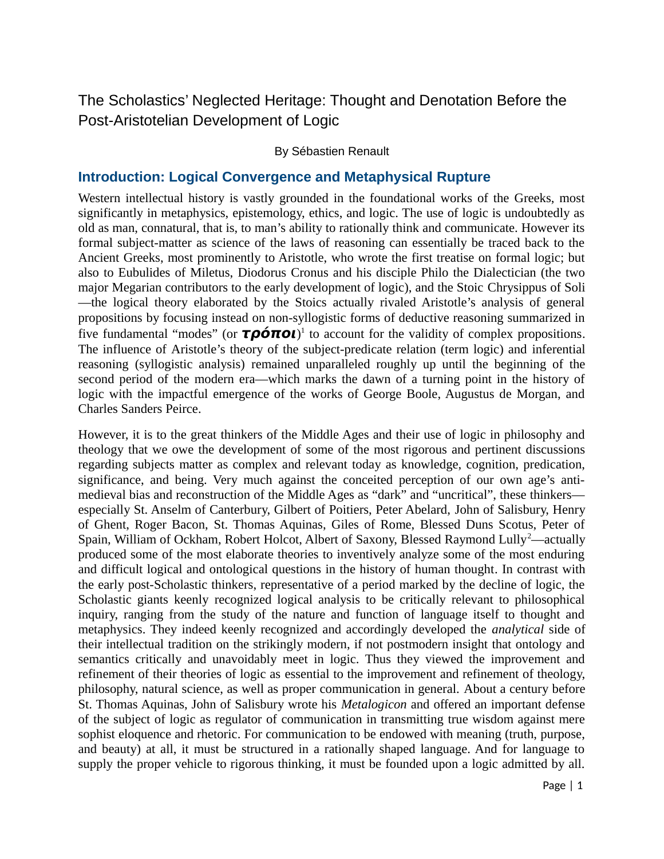# The Scholastics' Neglected Heritage: Thought and Denotation Before the Post-Aristotelian Development of Logic

### By Sébastien Renault

### **Introduction: Logical Convergence and Metaphysical Rupture**

Western intellectual history is vastly grounded in the foundational works of the Greeks, most significantly in metaphysics, epistemology, ethics, and logic. The use of logic is undoubtedly as old as man, connatural, that is, to man's ability to rationally think and communicate. However its formal subject-matter as science of the laws of reasoning can essentially be traced back to the Ancient Greeks, most prominently to Aristotle, who wrote the first treatise on formal logic; but also to Eubulides of Miletus, Diodorus Cronus and his disciple Philo the Dialectician (the two major Megarian contributors to the early development of logic), and the Stoic Chrysippus of Soli —the logical theory elaborated by the Stoics actually rivaled Aristotle's analysis of general propositions by focusing instead on non-syllogistic forms of deductive reasoning summarized in five fundamental "modes" (or **τρόποι**) 1 to account for the validity of complex propositions. The influence of Aristotle's theory of the subject-predicate relation (term logic) and inferential reasoning (syllogistic analysis) remained unparalleled roughly up until the beginning of the second period of the modern era—which marks the dawn of a turning point in the history of logic with the impactful emergence of the works of George Boole, Augustus de Morgan, and Charles Sanders Peirce.

However, it is to the great thinkers of the Middle Ages and their use of logic in philosophy and theology that we owe the development of some of the most rigorous and pertinent discussions regarding subjects matter as complex and relevant today as knowledge, cognition, predication, significance, and being. Very much against the conceited perception of our own age's antimedieval bias and reconstruction of the Middle Ages as "dark" and "uncritical", these thinkers especially St. Anselm of Canterbury, Gilbert of Poitiers, Peter Abelard, John of Salisbury, Henry of Ghent, Roger Bacon, St. Thomas Aquinas, Giles of Rome, Blessed Duns Scotus, Peter of Spain, William of Ockham, Robert Holcot, Albert of Saxony, Blessed Raymond Lully<sup>2</sup>—actually produced some of the most elaborate theories to inventively analyze some of the most enduring and difficult logical and ontological questions in the history of human thought. In contrast with the early post-Scholastic thinkers, representative of a period marked by the decline of logic, the Scholastic giants keenly recognized logical analysis to be critically relevant to philosophical inquiry, ranging from the study of the nature and function of language itself to thought and metaphysics. They indeed keenly recognized and accordingly developed the *analytical* side of their intellectual tradition on the strikingly modern, if not postmodern insight that ontology and semantics critically and unavoidably meet in logic. Thus they viewed the improvement and refinement of their theories of logic as essential to the improvement and refinement of theology, philosophy, natural science, as well as proper communication in general. About a century before St. Thomas Aquinas, John of Salisbury wrote his *Metalogicon* and offered an important defense of the subject of logic as regulator of communication in transmitting true wisdom against mere sophist eloquence and rhetoric. For communication to be endowed with meaning (truth, purpose, and beauty) at all, it must be structured in a rationally shaped language. And for language to supply the proper vehicle to rigorous thinking, it must be founded upon a logic admitted by all.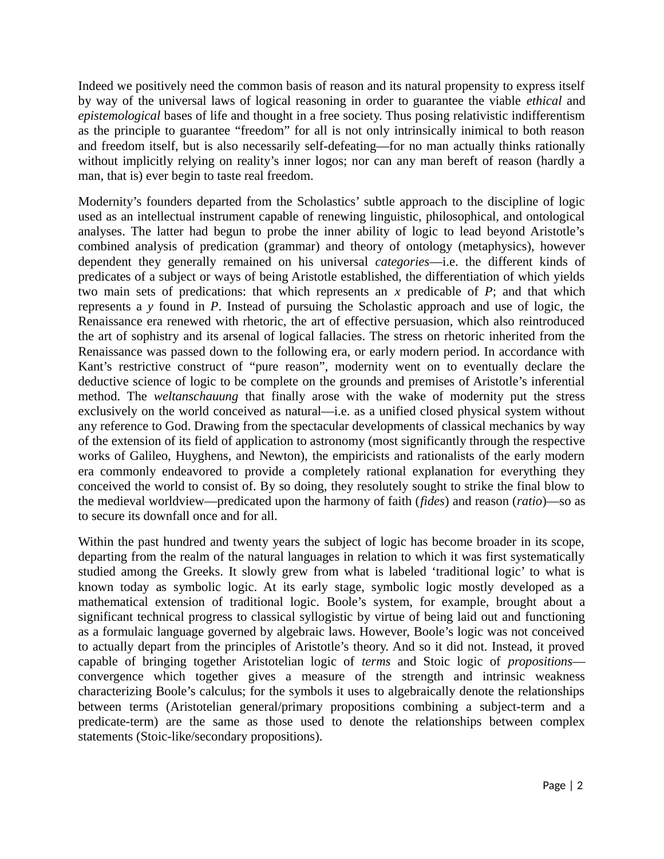Indeed we positively need the common basis of reason and its natural propensity to express itself by way of the universal laws of logical reasoning in order to guarantee the viable *ethical* and *epistemological* bases of life and thought in a free society. Thus posing relativistic indifferentism as the principle to guarantee "freedom" for all is not only intrinsically inimical to both reason and freedom itself, but is also necessarily self-defeating—for no man actually thinks rationally without implicitly relying on reality's inner logos; nor can any man bereft of reason (hardly a man, that is) ever begin to taste real freedom.

Modernity's founders departed from the Scholastics' subtle approach to the discipline of logic used as an intellectual instrument capable of renewing linguistic, philosophical, and ontological analyses. The latter had begun to probe the inner ability of logic to lead beyond Aristotle's combined analysis of predication (grammar) and theory of ontology (metaphysics), however dependent they generally remained on his universal *categories*—i.e. the different kinds of predicates of a subject or ways of being Aristotle established, the differentiation of which yields two main sets of predications: that which represents an *x* predicable of *P*; and that which represents a *y* found in *P*. Instead of pursuing the Scholastic approach and use of logic, the Renaissance era renewed with rhetoric, the art of effective persuasion, which also reintroduced the art of sophistry and its arsenal of logical fallacies. The stress on rhetoric inherited from the Renaissance was passed down to the following era, or early modern period. In accordance with Kant's restrictive construct of "pure reason", modernity went on to eventually declare the deductive science of logic to be complete on the grounds and premises of Aristotle's inferential method. The *weltanschauung* that finally arose with the wake of modernity put the stress exclusively on the world conceived as natural—i.e. as a unified closed physical system without any reference to God. Drawing from the spectacular developments of classical mechanics by way of the extension of its field of application to astronomy (most significantly through the respective works of Galileo, Huyghens, and Newton), the empiricists and rationalists of the early modern era commonly endeavored to provide a completely rational explanation for everything they conceived the world to consist of. By so doing, they resolutely sought to strike the final blow to the medieval worldview—predicated upon the harmony of faith (*fides*) and reason (*ratio*)—so as to secure its downfall once and for all.

Within the past hundred and twenty years the subject of logic has become broader in its scope, departing from the realm of the natural languages in relation to which it was first systematically studied among the Greeks. It slowly grew from what is labeled 'traditional logic' to what is known today as symbolic logic. At its early stage, symbolic logic mostly developed as a mathematical extension of traditional logic. Boole's system, for example, brought about a significant technical progress to classical syllogistic by virtue of being laid out and functioning as a formulaic language governed by algebraic laws. However, Boole's logic was not conceived to actually depart from the principles of Aristotle's theory. And so it did not. Instead, it proved capable of bringing together Aristotelian logic of *terms* and Stoic logic of *propositions* convergence which together gives a measure of the strength and intrinsic weakness characterizing Boole's calculus; for the symbols it uses to algebraically denote the relationships between terms (Aristotelian general/primary propositions combining a subject-term and a predicate-term) are the same as those used to denote the relationships between complex statements (Stoic-like/secondary propositions).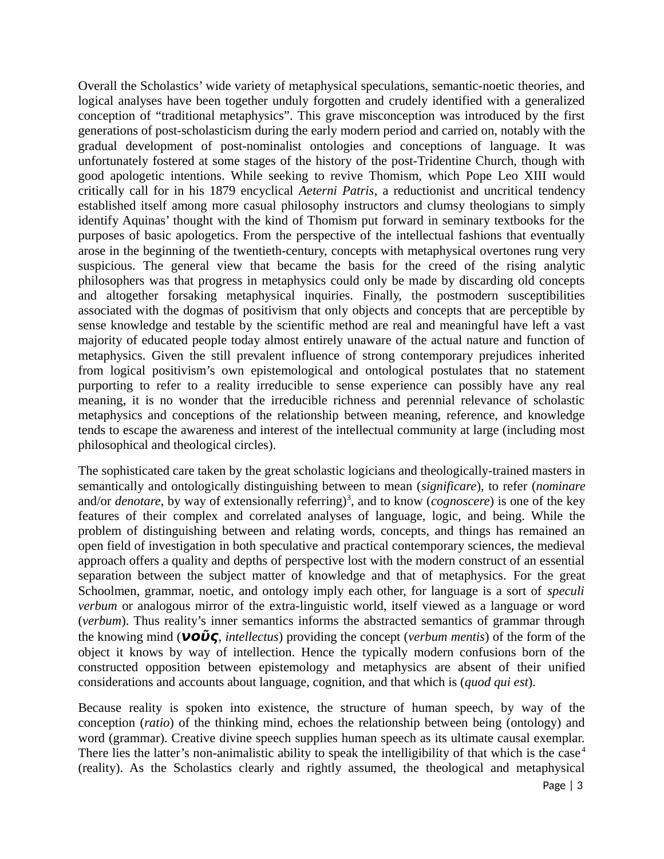Overall the Scholastics' wide variety of metaphysical speculations, semantic-noetic theories, and logical analyses have been together unduly forgotten and crudely identified with a generalized conception of "traditional metaphysics". This grave misconception was introduced by the first generations of post-scholasticism during the early modern period and carried on, notably with the gradual development of post-nominalist ontologies and conceptions of language. It was unfortunately fostered at some stages of the history of the post-Tridentine Church, though with good apologetic intentions. While seeking to revive Thomism, which Pope Leo XIII would critically call for in his 1879 encyclical *Aeterni Patris*, a reductionist and uncritical tendency established itself among more casual philosophy instructors and clumsy theologians to simply identify Aquinas' thought with the kind of Thomism put forward in seminary textbooks for the purposes of basic apologetics. From the perspective of the intellectual fashions that eventually arose in the beginning of the twentieth-century, concepts with metaphysical overtones rung very suspicious. The general view that became the basis for the creed of the rising analytic philosophers was that progress in metaphysics could only be made by discarding old concepts and altogether forsaking metaphysical inquiries. Finally, the postmodern susceptibilities associated with the dogmas of positivism that only objects and concepts that are perceptible by sense knowledge and testable by the scientific method are real and meaningful have left a vast majority of educated people today almost entirely unaware of the actual nature and function of metaphysics. Given the still prevalent influence of strong contemporary prejudices inherited from logical positivism's own epistemological and ontological postulates that no statement purporting to refer to a reality irreducible to sense experience can possibly have any real meaning, it is no wonder that the irreducible richness and perennial relevance of scholastic metaphysics and conceptions of the relationship between meaning, reference, and knowledge tends to escape the awareness and interest of the intellectual community at large (including most philosophical and theological circles).

The sophisticated care taken by the great scholastic logicians and theologically-trained masters in semantically and ontologically distinguishing between to mean (*significare*), to refer (*nominare* and/or *denotare*, by way of extensionally referring)<sup>3</sup>, and to know (*cognoscere*) is one of the key features of their complex and correlated analyses of language, logic, and being. While the problem of distinguishing between and relating words, concepts, and things has remained an open field of investigation in both speculative and practical contemporary sciences, the medieval approach offers a quality and depths of perspective lost with the modern construct of an essential separation between the subject matter of knowledge and that of metaphysics. For the great Schoolmen, grammar, noetic, and ontology imply each other, for language is a sort of *speculi verbum* or analogous mirror of the extra-linguistic world, itself viewed as a language or word (*verbum*). Thus reality's inner semantics informs the abstracted semantics of grammar through the knowing mind (**νοῦς**, *intellectus*) providing the concept (*verbum mentis*) of the form of the object it knows by way of intellection. Hence the typically modern confusions born of the constructed opposition between epistemology and metaphysics are absent of their unified considerations and accounts about language, cognition, and that which is (*quod qui est*).

Because reality is spoken into existence, the structure of human speech, by way of the conception (*ratio*) of the thinking mind, echoes the relationship between being (ontology) and word (grammar). Creative divine speech supplies human speech as its ultimate causal exemplar. There lies the latter's non-animalistic ability to speak the intelligibility of that which is the case<sup>4</sup> (reality). As the Scholastics clearly and rightly assumed, the theological and metaphysical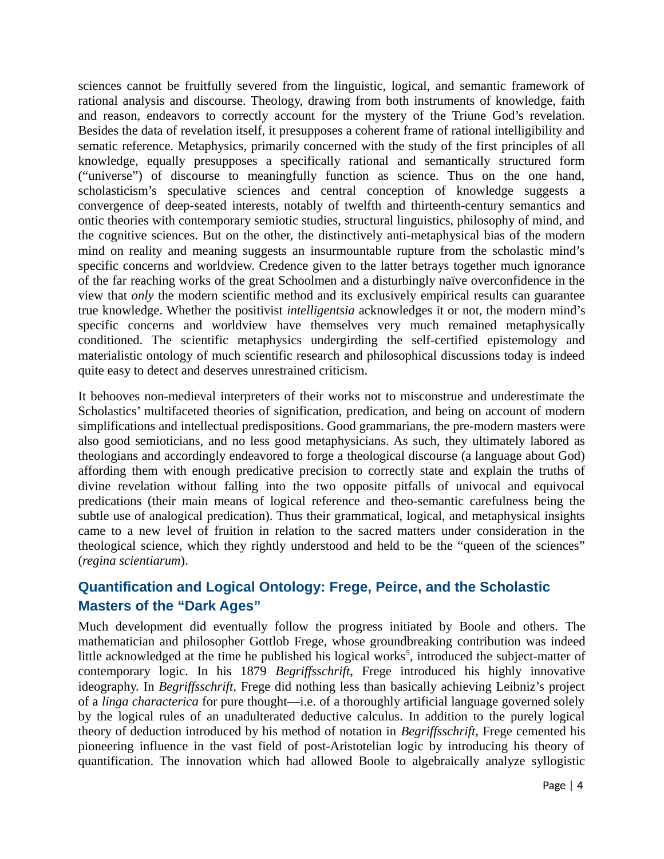sciences cannot be fruitfully severed from the linguistic, logical, and semantic framework of rational analysis and discourse. Theology, drawing from both instruments of knowledge, faith and reason, endeavors to correctly account for the mystery of the Triune God's revelation. Besides the data of revelation itself, it presupposes a coherent frame of rational intelligibility and sematic reference. Metaphysics, primarily concerned with the study of the first principles of all knowledge, equally presupposes a specifically rational and semantically structured form ("universe") of discourse to meaningfully function as science. Thus on the one hand, scholasticism's speculative sciences and central conception of knowledge suggests a convergence of deep-seated interests, notably of twelfth and thirteenth-century semantics and ontic theories with contemporary semiotic studies, structural linguistics, philosophy of mind, and the cognitive sciences. But on the other, the distinctively anti-metaphysical bias of the modern mind on reality and meaning suggests an insurmountable rupture from the scholastic mind's specific concerns and worldview. Credence given to the latter betrays together much ignorance of the far reaching works of the great Schoolmen and a disturbingly naïve overconfidence in the view that *only* the modern scientific method and its exclusively empirical results can guarantee true knowledge. Whether the positivist *intelligentsia* acknowledges it or not, the modern mind's specific concerns and worldview have themselves very much remained metaphysically conditioned. The scientific metaphysics undergirding the self-certified epistemology and materialistic ontology of much scientific research and philosophical discussions today is indeed quite easy to detect and deserves unrestrained criticism.

It behooves non-medieval interpreters of their works not to misconstrue and underestimate the Scholastics' multifaceted theories of signification, predication, and being on account of modern simplifications and intellectual predispositions. Good grammarians, the pre-modern masters were also good semioticians, and no less good metaphysicians. As such, they ultimately labored as theologians and accordingly endeavored to forge a theological discourse (a language about God) affording them with enough predicative precision to correctly state and explain the truths of divine revelation without falling into the two opposite pitfalls of univocal and equivocal predications (their main means of logical reference and theo-semantic carefulness being the subtle use of analogical predication). Thus their grammatical, logical, and metaphysical insights came to a new level of fruition in relation to the sacred matters under consideration in the theological science, which they rightly understood and held to be the "queen of the sciences" (*regina scientiarum*).

## **Quantification and Logical Ontology: Frege, Peirce, and the Scholastic Masters of the "Dark Ages"**

Much development did eventually follow the progress initiated by Boole and others. The mathematician and philosopher Gottlob Frege, whose groundbreaking contribution was indeed little acknowledged at the time he published his logical works<sup>5</sup>, introduced the subject-matter of contemporary logic. In his 1879 *Begriffsschrift*, Frege introduced his highly innovative ideography. In *Begriffsschrift*, Frege did nothing less than basically achieving Leibniz's project of a *linga characterica* for pure thought—i.e. of a thoroughly artificial language governed solely by the logical rules of an unadulterated deductive calculus. In addition to the purely logical theory of deduction introduced by his method of notation in *Begriffsschrift*, Frege cemented his pioneering influence in the vast field of post-Aristotelian logic by introducing his theory of quantification. The innovation which had allowed Boole to algebraically analyze syllogistic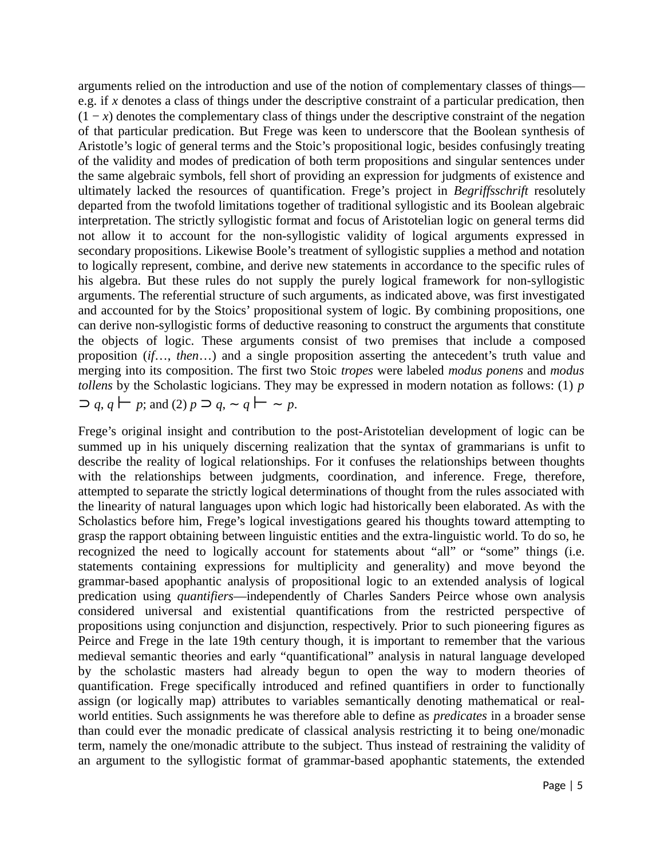arguments relied on the introduction and use of the notion of complementary classes of things e.g. if *x* denotes a class of things under the descriptive constraint of a particular predication, then  $(1 - x)$  denotes the complementary class of things under the descriptive constraint of the negation of that particular predication. But Frege was keen to underscore that the Boolean synthesis of Aristotle's logic of general terms and the Stoic's propositional logic, besides confusingly treating of the validity and modes of predication of both term propositions and singular sentences under the same algebraic symbols, fell short of providing an expression for judgments of existence and ultimately lacked the resources of quantification. Frege's project in *Begriffsschrift* resolutely departed from the twofold limitations together of traditional syllogistic and its Boolean algebraic interpretation. The strictly syllogistic format and focus of Aristotelian logic on general terms did not allow it to account for the non-syllogistic validity of logical arguments expressed in secondary propositions. Likewise Boole's treatment of syllogistic supplies a method and notation to logically represent, combine, and derive new statements in accordance to the specific rules of his algebra. But these rules do not supply the purely logical framework for non-syllogistic arguments. The referential structure of such arguments, as indicated above, was first investigated and accounted for by the Stoics' propositional system of logic. By combining propositions, one can derive non-syllogistic forms of deductive reasoning to construct the arguments that constitute the objects of logic. These arguments consist of two premises that include a composed proposition (*if*…, *then*…) and a single proposition asserting the antecedent's truth value and merging into its composition. The first two Stoic *tropes* were labeled *modus ponens* and *modus tollens* by the Scholastic logicians. They may be expressed in modern notation as follows: (1) *p*  $\supset q$ , *q* ⊢ *p*; and (2) *p*  $\supset q$ , ~ *q* ⊢ ~ *p*.

Frege's original insight and contribution to the post-Aristotelian development of logic can be summed up in his uniquely discerning realization that the syntax of grammarians is unfit to describe the reality of logical relationships. For it confuses the relationships between thoughts with the relationships between judgments, coordination, and inference. Frege, therefore, attempted to separate the strictly logical determinations of thought from the rules associated with the linearity of natural languages upon which logic had historically been elaborated. As with the Scholastics before him, Frege's logical investigations geared his thoughts toward attempting to grasp the rapport obtaining between linguistic entities and the extra-linguistic world. To do so, he recognized the need to logically account for statements about "all" or "some" things (i.e. statements containing expressions for multiplicity and generality) and move beyond the grammar-based apophantic analysis of propositional logic to an extended analysis of logical predication using *quantifiers*—independently of Charles Sanders Peirce whose own analysis considered universal and existential quantifications from the restricted perspective of propositions using conjunction and disjunction, respectively. Prior to such pioneering figures as Peirce and Frege in the late 19th century though, it is important to remember that the various medieval semantic theories and early "quantificational" analysis in natural language developed by the scholastic masters had already begun to open the way to modern theories of quantification. Frege specifically introduced and refined quantifiers in order to functionally assign (or logically map) attributes to variables semantically denoting mathematical or realworld entities. Such assignments he was therefore able to define as *predicates* in a broader sense than could ever the monadic predicate of classical analysis restricting it to being one/monadic term, namely the one/monadic attribute to the subject. Thus instead of restraining the validity of an argument to the syllogistic format of grammar-based apophantic statements, the extended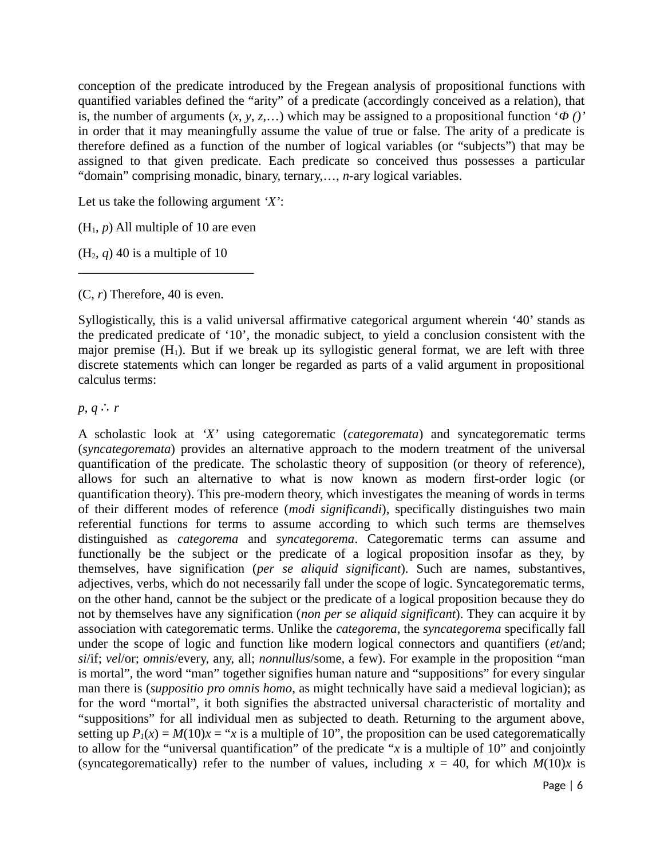conception of the predicate introduced by the Fregean analysis of propositional functions with quantified variables defined the "arity" of a predicate (accordingly conceived as a relation), that is, the number of arguments (*x*, *y*, *z*,…) which may be assigned to a propositional function '*Φ ()'* in order that it may meaningfully assume the value of true or false. The arity of a predicate is therefore defined as a function of the number of logical variables (or "subjects") that may be assigned to that given predicate. Each predicate so conceived thus possesses a particular "domain" comprising monadic, binary, ternary,…, *n*-ary logical variables.

Let us take the following argument *'X'*:

 $(H<sub>1</sub>, p)$  All multiple of 10 are even

\_\_\_\_\_\_\_\_\_\_\_\_\_\_\_\_\_\_\_\_\_\_\_\_\_\_\_

 $(H<sub>2</sub>, q)$  40 is a multiple of 10

(C, *r*) Therefore, 40 is even.

Syllogistically, this is a valid universal affirmative categorical argument wherein '40' stands as the predicated predicate of '10', the monadic subject, to yield a conclusion consistent with the major premise  $(H_1)$ . But if we break up its syllogistic general format, we are left with three discrete statements which can longer be regarded as parts of a valid argument in propositional calculus terms:

*p*, *q* ∴ *r*

A scholastic look at *'X'* using categorematic (*categoremata*) and syncategorematic terms (*syncategoremata*) provides an alternative approach to the modern treatment of the universal quantification of the predicate. The scholastic theory of supposition (or theory of reference), allows for such an alternative to what is now known as modern first-order logic (or quantification theory). This pre-modern theory, which investigates the meaning of words in terms of their different modes of reference (*modi significandi*), specifically distinguishes two main referential functions for terms to assume according to which such terms are themselves distinguished as *categorema* and *syncategorema*. Categorematic terms can assume and functionally be the subject or the predicate of a logical proposition insofar as they, by themselves, have signification (*per se aliquid significant*). Such are names, substantives, adjectives, verbs, which do not necessarily fall under the scope of logic. Syncategorematic terms, on the other hand, cannot be the subject or the predicate of a logical proposition because they do not by themselves have any signification (*non per se aliquid significant*). They can acquire it by association with categorematic terms. Unlike the *categorema*, the *syncategorema* specifically fall under the scope of logic and function like modern logical connectors and quantifiers (*et*/and; *si*/if; *vel*/or; *omnis*/every, any, all; *nonnullus*/some, a few). For example in the proposition "man is mortal", the word "man" together signifies human nature and "suppositions" for every singular man there is (*suppositio pro omnis homo*, as might technically have said a medieval logician); as for the word "mortal", it both signifies the abstracted universal characteristic of mortality and "suppositions" for all individual men as subjected to death. Returning to the argument above, setting up  $P_1(x) = M(10)x = "x$  is a multiple of 10", the proposition can be used categorematically to allow for the "universal quantification" of the predicate "*x* is a multiple of 10" and conjointly (syncategorematically) refer to the number of values, including  $x = 40$ , for which  $M(10)x$  is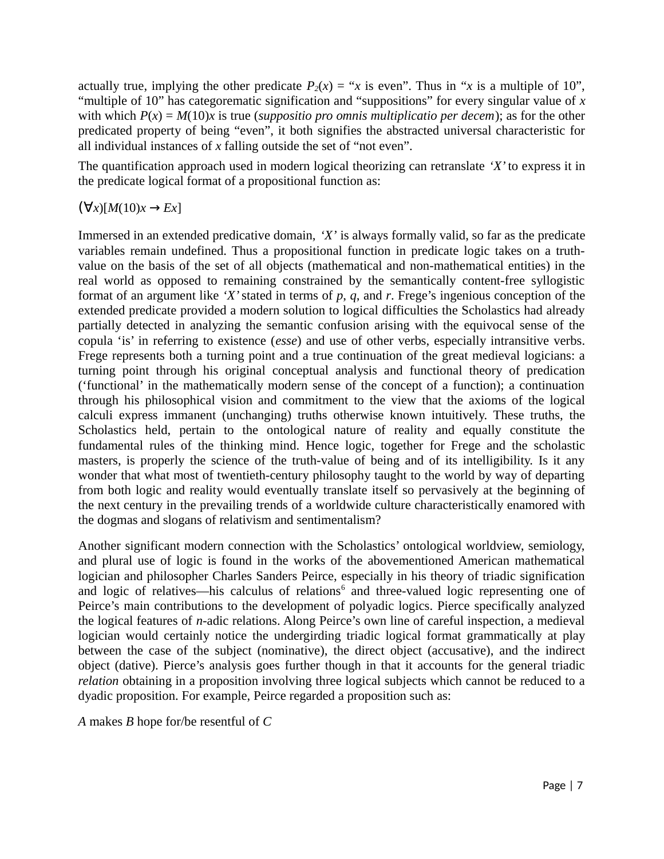actually true, implying the other predicate  $P_2(x) = x$  is even". Thus in "*x* is a multiple of 10", "multiple of 10" has categorematic signification and "suppositions" for every singular value of *x* with which *P*(*x*) = *M*(10)*x* is true (*suppositio pro omnis multiplicatio per decem*); as for the other predicated property of being "even", it both signifies the abstracted universal characteristic for all individual instances of *x* falling outside the set of "not even".

The quantification approach used in modern logical theorizing can retranslate *'X'* to express it in the predicate logical format of a propositional function as:

(∀*x*)[*M*(10)*x* → *Ex*]

Immersed in an extended predicative domain, *'X'* is always formally valid, so far as the predicate variables remain undefined. Thus a propositional function in predicate logic takes on a truthvalue on the basis of the set of all objects (mathematical and non-mathematical entities) in the real world as opposed to remaining constrained by the semantically content-free syllogistic format of an argument like *'X'* stated in terms of *p*, *q*, and *r*. Frege's ingenious conception of the extended predicate provided a modern solution to logical difficulties the Scholastics had already partially detected in analyzing the semantic confusion arising with the equivocal sense of the copula 'is' in referring to existence (*esse*) and use of other verbs, especially intransitive verbs. Frege represents both a turning point and a true continuation of the great medieval logicians: a turning point through his original conceptual analysis and functional theory of predication ('functional' in the mathematically modern sense of the concept of a function); a continuation through his philosophical vision and commitment to the view that the axioms of the logical calculi express immanent (unchanging) truths otherwise known intuitively. These truths, the Scholastics held, pertain to the ontological nature of reality and equally constitute the fundamental rules of the thinking mind. Hence logic, together for Frege and the scholastic masters, is properly the science of the truth-value of being and of its intelligibility. Is it any wonder that what most of twentieth-century philosophy taught to the world by way of departing from both logic and reality would eventually translate itself so pervasively at the beginning of the next century in the prevailing trends of a worldwide culture characteristically enamored with the dogmas and slogans of relativism and sentimentalism?

Another significant modern connection with the Scholastics' ontological worldview, semiology, and plural use of logic is found in the works of the abovementioned American mathematical logician and philosopher Charles Sanders Peirce, especially in his theory of triadic signification and logic of relatives—his calculus of relations $<sup>6</sup>$  and three-valued logic representing one of</sup> Peirce's main contributions to the development of polyadic logics. Pierce specifically analyzed the logical features of *n*-adic relations. Along Peirce's own line of careful inspection, a medieval logician would certainly notice the undergirding triadic logical format grammatically at play between the case of the subject (nominative), the direct object (accusative), and the indirect object (dative). Pierce's analysis goes further though in that it accounts for the general triadic *relation* obtaining in a proposition involving three logical subjects which cannot be reduced to a dyadic proposition. For example, Peirce regarded a proposition such as:

*A* makes *B* hope for/be resentful of *C*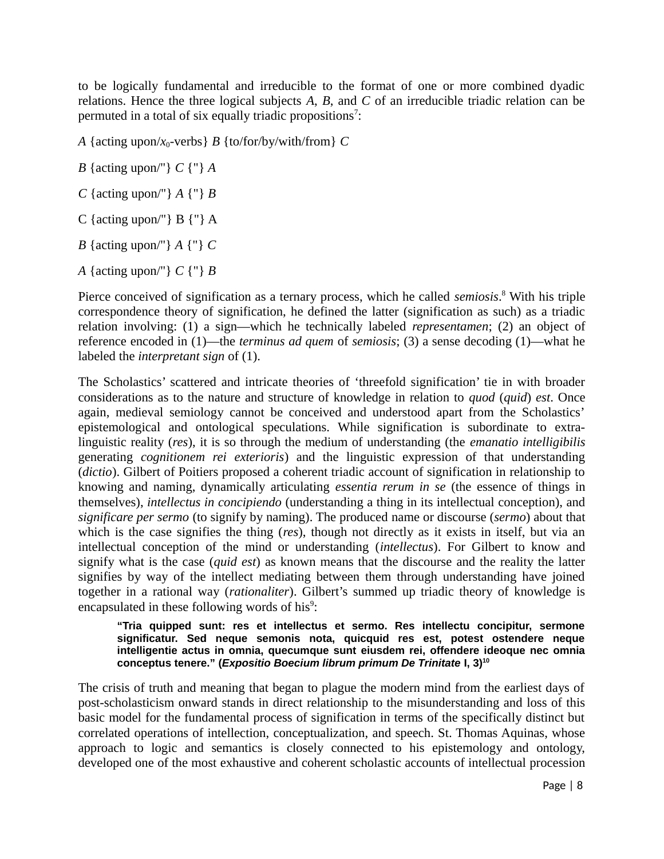to be logically fundamental and irreducible to the format of one or more combined dyadic relations. Hence the three logical subjects *A*, *B*, and *C* of an irreducible triadic relation can be permuted in a total of six equally triadic propositions<sup>7</sup>:

*A* {acting upon/*x*0-verbs} *B* {to/for/by/with/from} *C* 

- *B* {acting upon/"} *C* {"} *A*
- *C* {acting upon/"} *A* {"} *B*
- C {acting upon/"}  $B \{$ "}  $A$
- *B* {acting upon/"} *A* {"} *C*
- *A* {acting upon/"} *C* {"} *B*

Pierce conceived of signification as a ternary process, which he called *semiosis*. 8 With his triple correspondence theory of signification, he defined the latter (signification as such) as a triadic relation involving: (1) a sign—which he technically labeled *representamen*; (2) an object of reference encoded in (1)—the *terminus ad quem* of *semiosis*; (3) a sense decoding (1)—what he labeled the *interpretant sign* of (1).

The Scholastics' scattered and intricate theories of 'threefold signification' tie in with broader considerations as to the nature and structure of knowledge in relation to *quod* (*quid*) *est*. Once again, medieval semiology cannot be conceived and understood apart from the Scholastics' epistemological and ontological speculations. While signification is subordinate to extralinguistic reality (*res*), it is so through the medium of understanding (the *emanatio intelligibilis* generating *cognitionem rei exterioris*) and the linguistic expression of that understanding (*dictio*). Gilbert of Poitiers proposed a coherent triadic account of signification in relationship to knowing and naming, dynamically articulating *essentia rerum in se* (the essence of things in themselves), *intellectus in concipiendo* (understanding a thing in its intellectual conception), and *significare per sermo* (to signify by naming). The produced name or discourse (*sermo*) about that which is the case signifies the thing (*res*), though not directly as it exists in itself, but via an intellectual conception of the mind or understanding (*intellectus*). For Gilbert to know and signify what is the case (*quid est*) as known means that the discourse and the reality the latter signifies by way of the intellect mediating between them through understanding have joined together in a rational way (*rationaliter*). Gilbert's summed up triadic theory of knowledge is encapsulated in these following words of his<sup>9</sup>:

#### **"Tria quipped sunt: res et intellectus et sermo. Res intellectu concipitur, sermone significatur. Sed neque semonis nota, quicquid res est, potest ostendere neque intelligentie actus in omnia, quecumque sunt eiusdem rei, offendere ideoque nec omnia conceptus tenere." (***Expositio Boecium librum primum De Trinitate* **I, 3)<sup>10</sup>**

The crisis of truth and meaning that began to plague the modern mind from the earliest days of post-scholasticism onward stands in direct relationship to the misunderstanding and loss of this basic model for the fundamental process of signification in terms of the specifically distinct but correlated operations of intellection, conceptualization, and speech. St. Thomas Aquinas, whose approach to logic and semantics is closely connected to his epistemology and ontology, developed one of the most exhaustive and coherent scholastic accounts of intellectual procession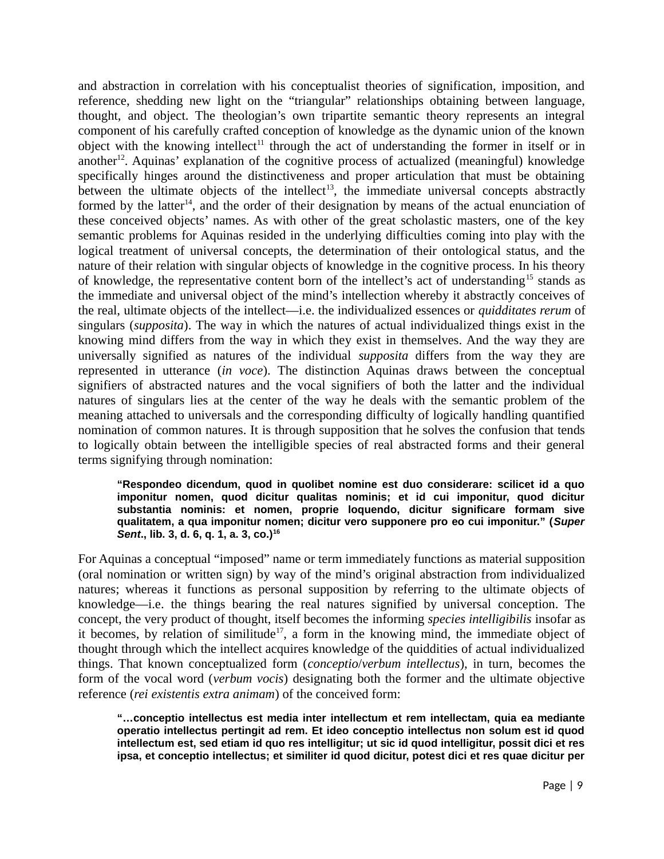and abstraction in correlation with his conceptualist theories of signification, imposition, and reference, shedding new light on the "triangular" relationships obtaining between language, thought, and object. The theologian's own tripartite semantic theory represents an integral component of his carefully crafted conception of knowledge as the dynamic union of the known object with the knowing intellect<sup>11</sup> through the act of understanding the former in itself or in another<sup>12</sup>. Aquinas' explanation of the cognitive process of actualized (meaningful) knowledge specifically hinges around the distinctiveness and proper articulation that must be obtaining between the ultimate objects of the intellect<sup>13</sup>, the immediate universal concepts abstractly formed by the latter<sup>14</sup>, and the order of their designation by means of the actual enunciation of these conceived objects' names. As with other of the great scholastic masters, one of the key semantic problems for Aquinas resided in the underlying difficulties coming into play with the logical treatment of universal concepts, the determination of their ontological status, and the nature of their relation with singular objects of knowledge in the cognitive process. In his theory of knowledge, the representative content born of the intellect's act of understanding<sup>15</sup> stands as the immediate and universal object of the mind's intellection whereby it abstractly conceives of the real, ultimate objects of the intellect—i.e. the individualized essences or *quidditates rerum* of singulars (*supposita*). The way in which the natures of actual individualized things exist in the knowing mind differs from the way in which they exist in themselves. And the way they are universally signified as natures of the individual *supposita* differs from the way they are represented in utterance (*in voce*). The distinction Aquinas draws between the conceptual signifiers of abstracted natures and the vocal signifiers of both the latter and the individual natures of singulars lies at the center of the way he deals with the semantic problem of the meaning attached to universals and the corresponding difficulty of logically handling quantified nomination of common natures. It is through supposition that he solves the confusion that tends to logically obtain between the intelligible species of real abstracted forms and their general terms signifying through nomination:

#### **"Respondeo dicendum, quod in quolibet nomine est duo considerare: scilicet id a quo imponitur nomen, quod dicitur qualitas nominis; et id cui imponitur, quod dicitur substantia nominis: et nomen, proprie loquendo, dicitur significare formam sive qualitatem, a qua imponitur nomen; dicitur vero supponere pro eo cui imponitur." (***Super Sent***., lib. 3, d. 6, q. 1, a. 3, co.)<sup>16</sup>**

For Aquinas a conceptual "imposed" name or term immediately functions as material supposition (oral nomination or written sign) by way of the mind's original abstraction from individualized natures; whereas it functions as personal supposition by referring to the ultimate objects of knowledge—i.e. the things bearing the real natures signified by universal conception. The concept, the very product of thought, itself becomes the informing *species intelligibilis* insofar as it becomes, by relation of similitude<sup>17</sup>, a form in the knowing mind, the immediate object of thought through which the intellect acquires knowledge of the quiddities of actual individualized things. That known conceptualized form (*conceptio*/*verbum intellectus*), in turn, becomes the form of the vocal word (*verbum vocis*) designating both the former and the ultimate objective reference (*rei existentis extra animam*) of the conceived form:

**"…conceptio intellectus est media inter intellectum et rem intellectam, quia ea mediante operatio intellectus pertingit ad rem. Et ideo conceptio intellectus non solum est id quod intellectum est, sed etiam id quo res intelligitur; ut sic id quod intelligitur, possit dici et res ipsa, et conceptio intellectus; et similiter id quod dicitur, potest dici et res quae dicitur per**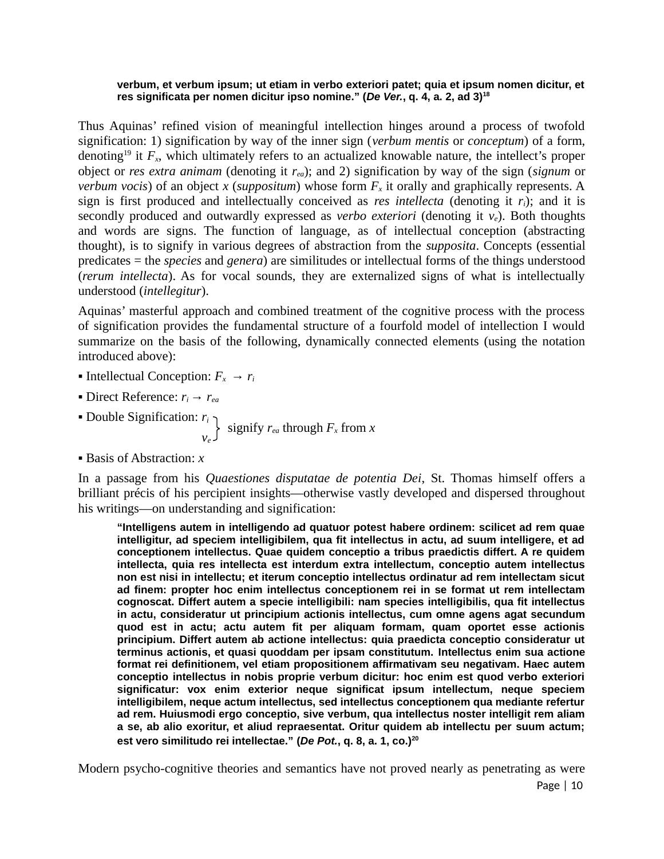#### **verbum, et verbum ipsum; ut etiam in verbo exteriori patet; quia et ipsum nomen dicitur, et res significata per nomen dicitur ipso nomine." (***De Ver.***, q. 4, a. 2, ad 3)<sup>18</sup>**

Thus Aquinas' refined vision of meaningful intellection hinges around a process of twofold signification: 1) signification by way of the inner sign (*verbum mentis* or *conceptum*) of a form, denoting<sup>19</sup> it  $F_x$ , which ultimately refers to an actualized knowable nature, the intellect's proper object or *res extra animam* (denoting it *rea*); and 2) signification by way of the sign (*signum* or *verbum vocis*) of an object *x* (*suppositum*) whose form  $F_x$  it orally and graphically represents. A sign is first produced and intellectually conceived as *res intellecta* (denoting it *ri*); and it is secondly produced and outwardly expressed as *verbo exteriori* (denoting it *ve*). Both thoughts and words are signs. The function of language, as of intellectual conception (abstracting thought), is to signify in various degrees of abstraction from the *supposita*. Concepts (essential predicates = the *species* and *genera*) are similitudes or intellectual forms of the things understood (*rerum intellecta*). As for vocal sounds, they are externalized signs of what is intellectually understood (*intellegitur*).

Aquinas' masterful approach and combined treatment of the cognitive process with the process of signification provides the fundamental structure of a fourfold model of intellection I would summarize on the basis of the following, dynamically connected elements (using the notation introduced above):

- **•** Intellectual Conception:  $F_x \rightarrow r_i$
- **Direct Reference:**  $r_i \rightarrow r_{ea}$
- Double Signification: *r<sup>i</sup>*
- $V_e$ signify *rea* through *Fx* from *x*
- Basis of Abstraction: *x*

In a passage from his *Quaestiones disputatae de potentia Dei*, St. Thomas himself offers a brilliant précis of his percipient insights—otherwise vastly developed and dispersed throughout his writings—on understanding and signification:

**"Intelligens autem in intelligendo ad quatuor potest habere ordinem: scilicet ad rem quae intelligitur, ad speciem intelligibilem, qua fit intellectus in actu, ad suum intelligere, et ad conceptionem intellectus. Quae quidem conceptio a tribus praedictis differt. A re quidem intellecta, quia res intellecta est interdum extra intellectum, conceptio autem intellectus non est nisi in intellectu; et iterum conceptio intellectus ordinatur ad rem intellectam sicut ad finem: propter hoc enim intellectus conceptionem rei in se format ut rem intellectam cognoscat. Differt autem a specie intelligibili: nam species intelligibilis, qua fit intellectus in actu, consideratur ut principium actionis intellectus, cum omne agens agat secundum quod est in actu; actu autem fit per aliquam formam, quam oportet esse actionis principium. Differt autem ab actione intellectus: quia praedicta conceptio consideratur ut terminus actionis, et quasi quoddam per ipsam constitutum. Intellectus enim sua actione format rei definitionem, vel etiam propositionem affirmativam seu negativam. Haec autem conceptio intellectus in nobis proprie verbum dicitur: hoc enim est quod verbo exteriori significatur: vox enim exterior neque significat ipsum intellectum, neque speciem intelligibilem, neque actum intellectus, sed intellectus conceptionem qua mediante refertur ad rem. Huiusmodi ergo conceptio, sive verbum, qua intellectus noster intelligit rem aliam a se, ab alio exoritur, et aliud repraesentat. Oritur quidem ab intellectu per suum actum; est vero similitudo rei intellectae." (***De Pot.***, q. 8, a. 1, co.)<sup>20</sup>**

Modern psycho-cognitive theories and semantics have not proved nearly as penetrating as were Page | 10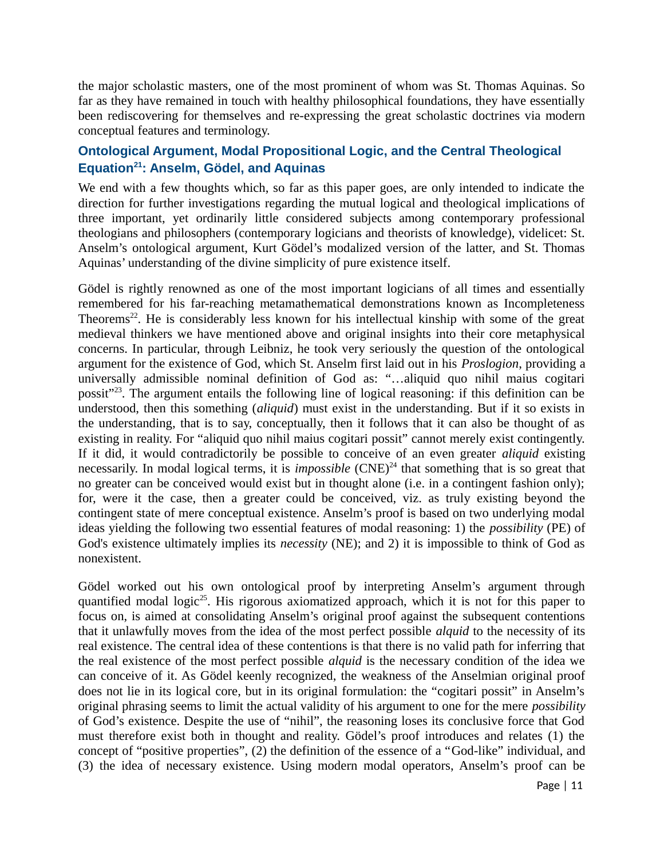the major scholastic masters, one of the most prominent of whom was St. Thomas Aquinas. So far as they have remained in touch with healthy philosophical foundations, they have essentially been rediscovering for themselves and re-expressing the great scholastic doctrines via modern conceptual features and terminology.

### **Ontological Argument, Modal Propositional Logic, and the Central Theological Equation<sup>21</sup>: Anselm, Gödel, and Aquinas**

We end with a few thoughts which, so far as this paper goes, are only intended to indicate the direction for further investigations regarding the mutual logical and theological implications of three important, yet ordinarily little considered subjects among contemporary professional theologians and philosophers (contemporary logicians and theorists of knowledge), videlicet: St. Anselm's ontological argument, Kurt Gödel's modalized version of the latter, and St. Thomas Aquinas' understanding of the divine simplicity of pure existence itself.

Gödel is rightly renowned as one of the most important logicians of all times and essentially remembered for his far-reaching metamathematical demonstrations known as Incompleteness Theorems<sup>22</sup>. He is considerably less known for his intellectual kinship with some of the great medieval thinkers we have mentioned above and original insights into their core metaphysical concerns. In particular, through Leibniz, he took very seriously the question of the ontological argument for the existence of God, which St. Anselm first laid out in his *Proslogion*, providing a universally admissible nominal definition of God as: "…aliquid quo nihil maius cogitari possit"<sup>23</sup>. The argument entails the following line of logical reasoning: if this definition can be understood, then this something (*aliquid*) must exist in the understanding. But if it so exists in the understanding, that is to say, conceptually, then it follows that it can also be thought of as existing in reality. For "aliquid quo nihil maius cogitari possit" cannot merely exist contingently. If it did, it would contradictorily be possible to conceive of an even greater *aliquid* existing necessarily. In modal logical terms, it is *impossible*  $(CNE)^{24}$  that something that is so great that no greater can be conceived would exist but in thought alone (i.e. in a contingent fashion only); for, were it the case, then a greater could be conceived, viz. as truly existing beyond the contingent state of mere conceptual existence. Anselm's proof is based on two underlying modal ideas yielding the following two essential features of modal reasoning: 1) the *possibility* (PE) of God's existence ultimately implies its *necessity* (NE); and 2) it is impossible to think of God as nonexistent.

Gödel worked out his own ontological proof by interpreting Anselm's argument through quantified modal logic<sup>25</sup>. His rigorous axiomatized approach, which it is not for this paper to focus on, is aimed at consolidating Anselm's original proof against the subsequent contentions that it unlawfully moves from the idea of the most perfect possible *alquid* to the necessity of its real existence. The central idea of these contentions is that there is no valid path for inferring that the real existence of the most perfect possible *alquid* is the necessary condition of the idea we can conceive of it. As Gödel keenly recognized, the weakness of the Anselmian original proof does not lie in its logical core, but in its original formulation: the "cogitari possit" in Anselm's original phrasing seems to limit the actual validity of his argument to one for the mere *possibility* of God's existence. Despite the use of "nihil", the reasoning loses its conclusive force that God must therefore exist both in thought and reality. Gödel's proof introduces and relates (1) the concept of "positive properties", (2) the definition of the essence of a "God-like" individual, and (3) the idea of necessary existence. Using modern modal operators, Anselm's proof can be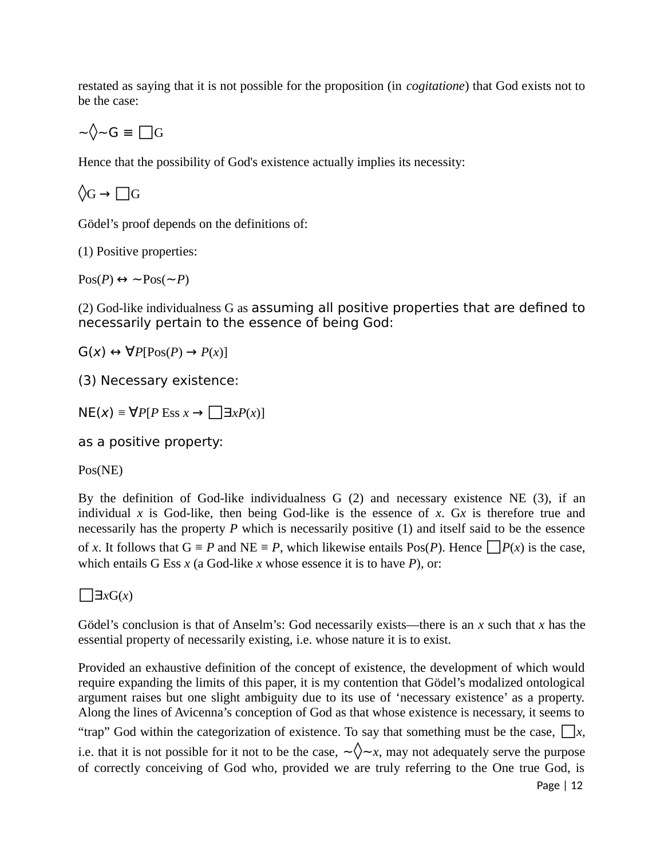restated as saying that it is not possible for the proposition (in *cogitatione*) that God exists not to be the case:

$$
{\sim}{\hspace{-0.3pt}\sqrt[3]{\sim}}{\mathsf{G}}\equiv\textstyle\prod{\mathsf{G}}
$$

Hence that the possibility of God's existence actually implies its necessity:

◊G → **□**G

Gödel's proof depends on the definitions of:

(1) Positive properties:

 $Pos(P) \leftrightarrow \sim Pos(\sim P)$ 

(2) God-like individualness G as assuming all positive properties that are defined to necessarily pertain to the essence of being God:

 $G(x) \leftrightarrow \forall P[Pos(P) \rightarrow P(x)]$ 

(3) Necessary existence:

 $N E(x) ≡ \forall P [P Ess x \rightarrow \Box x P(x)]$ 

as a positive property:

Pos(NE)

By the definition of God-like individualness G (2) and necessary existence NE (3), if an individual  $x$  is God-like, then being God-like is the essence of  $x$ . G $x$  is therefore true and necessarily has the property *P* which is necessarily positive (1) and itself said to be the essence of *x*. It follows that  $G = P$  and  $NE = P$ , which likewise entails Pos(*P*). Hence  $\Box P(x)$  is the case, which entails G Ess *x* (a God-like *x* whose essence it is to have *P*), or:

**□**Ǝ*x*G(*x*)

Gödel's conclusion is that of Anselm's: God necessarily exists—there is an *x* such that *x* has the essential property of necessarily existing, i.e. whose nature it is to exist.

Provided an exhaustive definition of the concept of existence, the development of which would require expanding the limits of this paper, it is my contention that Gödel's modalized ontological argument raises but one slight ambiguity due to its use of 'necessary existence' as a property. Along the lines of Avicenna's conception of God as that whose existence is necessary, it seems to "trap" God within the categorization of existence. To say that something must be the case,  $\Box x$ , i.e. that it is not possible for it not to be the case,  $\sim \sqrt{\sim}x$ , may not adequately serve the purpose of correctly conceiving of God who, provided we are truly referring to the One true God, is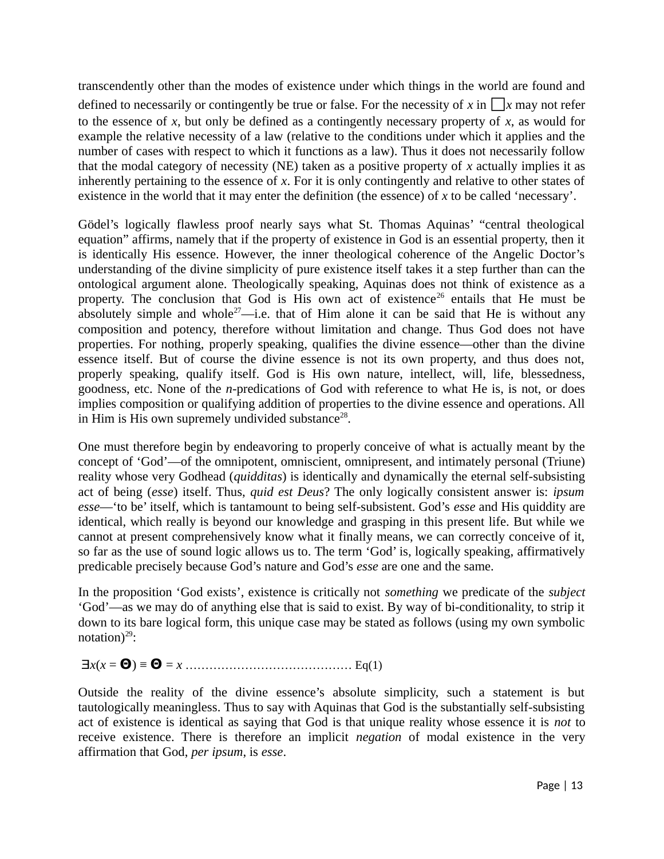transcendently other than the modes of existence under which things in the world are found and defined to necessarily or contingently be true or false. For the necessity of x in  $\Box$ x may not refer to the essence of *x*, but only be defined as a contingently necessary property of *x*, as would for example the relative necessity of a law (relative to the conditions under which it applies and the number of cases with respect to which it functions as a law). Thus it does not necessarily follow that the modal category of necessity (NE) taken as a positive property of *x* actually implies it as inherently pertaining to the essence of *x*. For it is only contingently and relative to other states of existence in the world that it may enter the definition (the essence) of *x* to be called 'necessary'.

Gödel's logically flawless proof nearly says what St. Thomas Aquinas' "central theological equation" affirms, namely that if the property of existence in God is an essential property, then it is identically His essence. However, the inner theological coherence of the Angelic Doctor's understanding of the divine simplicity of pure existence itself takes it a step further than can the ontological argument alone. Theologically speaking, Aquinas does not think of existence as a property. The conclusion that God is His own act of existence<sup>26</sup> entails that He must be absolutely simple and whole<sup>27</sup>—i.e. that of Him alone it can be said that He is without any composition and potency, therefore without limitation and change. Thus God does not have properties. For nothing, properly speaking, qualifies the divine essence—other than the divine essence itself. But of course the divine essence is not its own property, and thus does not, properly speaking, qualify itself. God is His own nature, intellect, will, life, blessedness, goodness, etc. None of the *n*-predications of God with reference to what He is, is not, or does implies composition or qualifying addition of properties to the divine essence and operations. All in Him is His own supremely undivided substance $^{28}$ .

One must therefore begin by endeavoring to properly conceive of what is actually meant by the concept of 'God'—of the omnipotent, omniscient, omnipresent, and intimately personal (Triune) reality whose very Godhead (*quidditas*) is identically and dynamically the eternal self-subsisting act of being (*esse*) itself. Thus, *quid est Deus*? The only logically consistent answer is: *ipsum esse*—'to be' itself, which is tantamount to being self-subsistent. God's *esse* and His quiddity are identical, which really is beyond our knowledge and grasping in this present life. But while we cannot at present comprehensively know what it finally means, we can correctly conceive of it, so far as the use of sound logic allows us to. The term 'God' is, logically speaking, affirmatively predicable precisely because God's nature and God's *esse* are one and the same.

In the proposition 'God exists', existence is critically not *something* we predicate of the *subject* 'God'—as we may do of anything else that is said to exist. By way of bi-conditionality, to strip it down to its bare logical form, this unique case may be stated as follows (using my own symbolic notation) $^{29}$ :

Ǝ*x*(*x* = **Θ**) ≡ **Θ** = *x* …………………………………… Eq(1)

Outside the reality of the divine essence's absolute simplicity, such a statement is but tautologically meaningless. Thus to say with Aquinas that God is the substantially self-subsisting act of existence is identical as saying that God is that unique reality whose essence it is *not* to receive existence. There is therefore an implicit *negation* of modal existence in the very affirmation that God, *per ipsum*, is *esse*.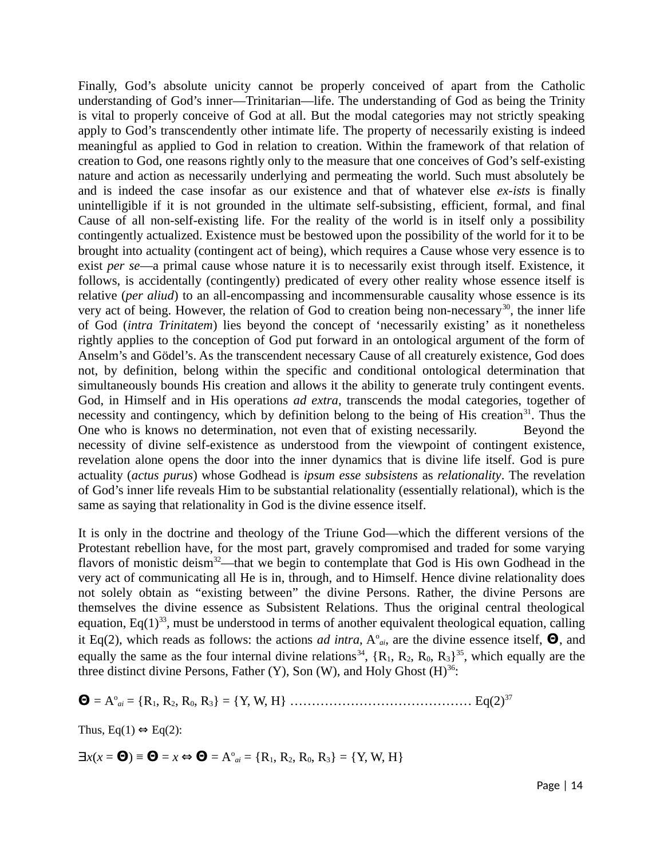Finally, God's absolute unicity cannot be properly conceived of apart from the Catholic understanding of God's inner—Trinitarian—life. The understanding of God as being the Trinity is vital to properly conceive of God at all. But the modal categories may not strictly speaking apply to God's transcendently other intimate life. The property of necessarily existing is indeed meaningful as applied to God in relation to creation. Within the framework of that relation of creation to God, one reasons rightly only to the measure that one conceives of God's self-existing nature and action as necessarily underlying and permeating the world. Such must absolutely be and is indeed the case insofar as our existence and that of whatever else *ex-ists* is finally unintelligible if it is not grounded in the ultimate self-subsisting, efficient, formal, and final Cause of all non-self-existing life. For the reality of the world is in itself only a possibility contingently actualized. Existence must be bestowed upon the possibility of the world for it to be brought into actuality (contingent act of being), which requires a Cause whose very essence is to exist *per se*—a primal cause whose nature it is to necessarily exist through itself. Existence, it follows, is accidentally (contingently) predicated of every other reality whose essence itself is relative (*per aliud*) to an all-encompassing and incommensurable causality whose essence is its very act of being. However, the relation of God to creation being non-necessary<sup>30</sup>, the inner life of God (*intra Trinitatem*) lies beyond the concept of 'necessarily existing' as it nonetheless rightly applies to the conception of God put forward in an ontological argument of the form of Anselm's and Gödel's. As the transcendent necessary Cause of all creaturely existence, God does not, by definition, belong within the specific and conditional ontological determination that simultaneously bounds His creation and allows it the ability to generate truly contingent events. God, in Himself and in His operations *ad extra*, transcends the modal categories, together of necessity and contingency, which by definition belong to the being of His creation<sup>31</sup>. Thus the One who is knows no determination, not even that of existing necessarily. Beyond the necessity of divine self-existence as understood from the viewpoint of contingent existence, revelation alone opens the door into the inner dynamics that is divine life itself. God is pure actuality (*actus purus*) whose Godhead is *ipsum esse subsistens* as *relationality*. The revelation of God's inner life reveals Him to be substantial relationality (essentially relational), which is the same as saying that relationality in God is the divine essence itself.

It is only in the doctrine and theology of the Triune God—which the different versions of the Protestant rebellion have, for the most part, gravely compromised and traded for some varying flavors of monistic deism<sup>32</sup>—that we begin to contemplate that God is His own Godhead in the very act of communicating all He is in, through, and to Himself. Hence divine relationality does not solely obtain as "existing between" the divine Persons. Rather, the divine Persons are themselves the divine essence as Subsistent Relations. Thus the original central theological equation, Eq(1)<sup>33</sup>, must be understood in terms of another equivalent theological equation, calling it Eq(2), which reads as follows: the actions *ad intra*, A<sup>o</sup><sub>*ai*</sub>, are the divine essence itself, **Θ**, and equally the same as the four internal divine relations<sup>34</sup>,  $\{R_1, R_2, R_0, R_3\}$ <sup>35</sup>, which equally are the three distinct divine Persons, Father (Y), Son (W), and Holy Ghost  $(H)^{36}$ :

**Θ** = A<sup>o</sup> *ai* = {R1, R2, R0, R3} = {Y, W, H} …………………………………… Eq(2)<sup>37</sup>

Thus, Eq(1)  $\Leftrightarrow$  Eq(2):

 $\exists x(x = \mathbf{\Theta}) \equiv \mathbf{\Theta} = x \Leftrightarrow \mathbf{\Theta} = A^{\circ}_{ai} = \{R_1, R_2, R_0, R_3\} = \{Y, W, H\}$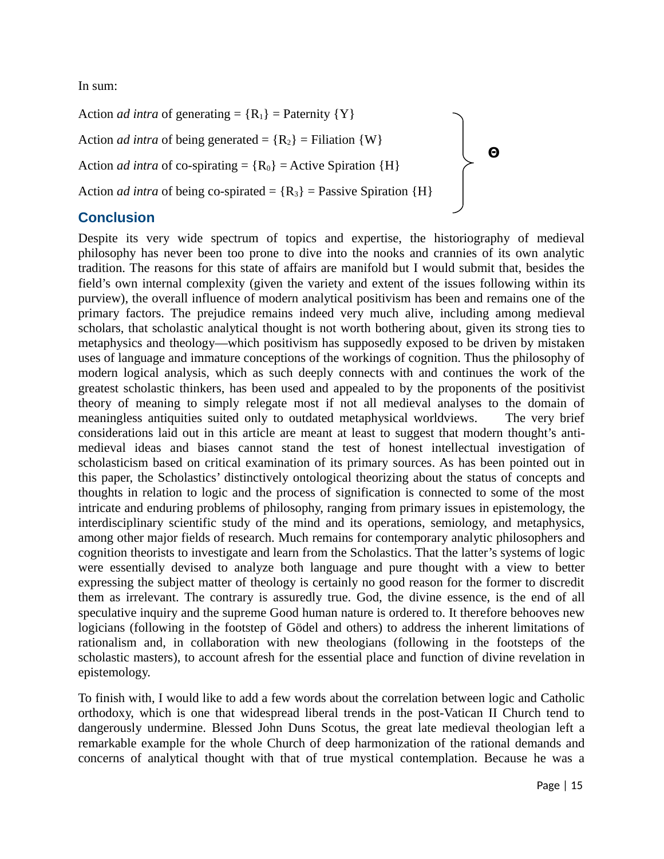In sum:

Action *ad intra* of generating =  ${R_1}$  = Paternity  ${Y}$ Action *ad intra* of being generated =  ${R_2}$  = Filiation  ${W}$ Action *ad intra* of co-spirating =  ${R_0}$  = Active Spiration  ${H}$ Action *ad intra* of being co-spirated =  ${R_3}$  = Passive Spiration  ${H}$ **Θ**

## **Conclusion**

Despite its very wide spectrum of topics and expertise, the historiography of medieval philosophy has never been too prone to dive into the nooks and crannies of its own analytic tradition. The reasons for this state of affairs are manifold but I would submit that, besides the field's own internal complexity (given the variety and extent of the issues following within its purview), the overall influence of modern analytical positivism has been and remains one of the primary factors. The prejudice remains indeed very much alive, including among medieval scholars, that scholastic analytical thought is not worth bothering about, given its strong ties to metaphysics and theology—which positivism has supposedly exposed to be driven by mistaken uses of language and immature conceptions of the workings of cognition. Thus the philosophy of modern logical analysis, which as such deeply connects with and continues the work of the greatest scholastic thinkers, has been used and appealed to by the proponents of the positivist theory of meaning to simply relegate most if not all medieval analyses to the domain of meaningless antiquities suited only to outdated metaphysical worldviews. The very brief considerations laid out in this article are meant at least to suggest that modern thought's antimedieval ideas and biases cannot stand the test of honest intellectual investigation of scholasticism based on critical examination of its primary sources. As has been pointed out in this paper, the Scholastics' distinctively ontological theorizing about the status of concepts and thoughts in relation to logic and the process of signification is connected to some of the most intricate and enduring problems of philosophy, ranging from primary issues in epistemology, the interdisciplinary scientific study of the mind and its operations, semiology, and metaphysics, among other major fields of research. Much remains for contemporary analytic philosophers and cognition theorists to investigate and learn from the Scholastics. That the latter's systems of logic were essentially devised to analyze both language and pure thought with a view to better expressing the subject matter of theology is certainly no good reason for the former to discredit them as irrelevant. The contrary is assuredly true. God, the divine essence, is the end of all speculative inquiry and the supreme Good human nature is ordered to. It therefore behooves new logicians (following in the footstep of Gödel and others) to address the inherent limitations of rationalism and, in collaboration with new theologians (following in the footsteps of the scholastic masters), to account afresh for the essential place and function of divine revelation in epistemology.

To finish with, I would like to add a few words about the correlation between logic and Catholic orthodoxy, which is one that widespread liberal trends in the post-Vatican II Church tend to dangerously undermine. Blessed John Duns Scotus, the great late medieval theologian left a remarkable example for the whole Church of deep harmonization of the rational demands and concerns of analytical thought with that of true mystical contemplation. Because he was a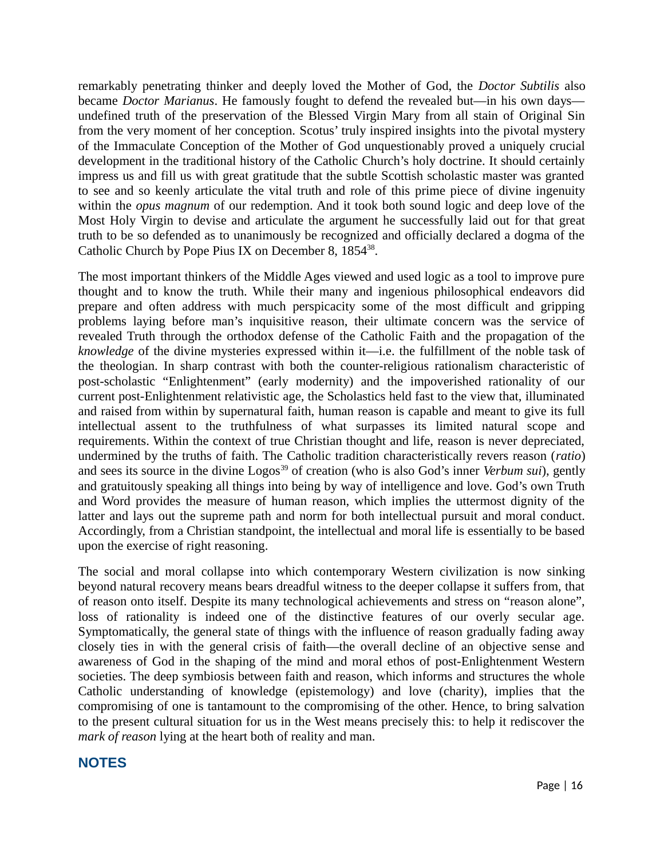remarkably penetrating thinker and deeply loved the Mother of God, the *Doctor Subtilis* also became *Doctor Marianus*. He famously fought to defend the revealed but—in his own days undefined truth of the preservation of the Blessed Virgin Mary from all stain of Original Sin from the very moment of her conception. Scotus' truly inspired insights into the pivotal mystery of the Immaculate Conception of the Mother of God unquestionably proved a uniquely crucial development in the traditional history of the Catholic Church's holy doctrine. It should certainly impress us and fill us with great gratitude that the subtle Scottish scholastic master was granted to see and so keenly articulate the vital truth and role of this prime piece of divine ingenuity within the *opus magnum* of our redemption. And it took both sound logic and deep love of the Most Holy Virgin to devise and articulate the argument he successfully laid out for that great truth to be so defended as to unanimously be recognized and officially declared a dogma of the Catholic Church by Pope Pius IX on December 8,  $1854^{38}$ .

The most important thinkers of the Middle Ages viewed and used logic as a tool to improve pure thought and to know the truth. While their many and ingenious philosophical endeavors did prepare and often address with much perspicacity some of the most difficult and gripping problems laying before man's inquisitive reason, their ultimate concern was the service of revealed Truth through the orthodox defense of the Catholic Faith and the propagation of the *knowledge* of the divine mysteries expressed within it—i.e. the fulfillment of the noble task of the theologian. In sharp contrast with both the counter-religious rationalism characteristic of post-scholastic "Enlightenment" (early modernity) and the impoverished rationality of our current post-Enlightenment relativistic age, the Scholastics held fast to the view that, illuminated and raised from within by supernatural faith, human reason is capable and meant to give its full intellectual assent to the truthfulness of what surpasses its limited natural scope and requirements. Within the context of true Christian thought and life, reason is never depreciated, undermined by the truths of faith. The Catholic tradition characteristically revers reason (*ratio*) and sees its source in the divine Logos<sup>39</sup> of creation (who is also God's inner *Verbum sui*), gently and gratuitously speaking all things into being by way of intelligence and love. God's own Truth and Word provides the measure of human reason, which implies the uttermost dignity of the latter and lays out the supreme path and norm for both intellectual pursuit and moral conduct. Accordingly, from a Christian standpoint, the intellectual and moral life is essentially to be based upon the exercise of right reasoning.

The social and moral collapse into which contemporary Western civilization is now sinking beyond natural recovery means bears dreadful witness to the deeper collapse it suffers from, that of reason onto itself. Despite its many technological achievements and stress on "reason alone", loss of rationality is indeed one of the distinctive features of our overly secular age. Symptomatically, the general state of things with the influence of reason gradually fading away closely ties in with the general crisis of faith—the overall decline of an objective sense and awareness of God in the shaping of the mind and moral ethos of post-Enlightenment Western societies. The deep symbiosis between faith and reason, which informs and structures the whole Catholic understanding of knowledge (epistemology) and love (charity), implies that the compromising of one is tantamount to the compromising of the other. Hence, to bring salvation to the present cultural situation for us in the West means precisely this: to help it rediscover the *mark of reason* lying at the heart both of reality and man.

### **NOTES**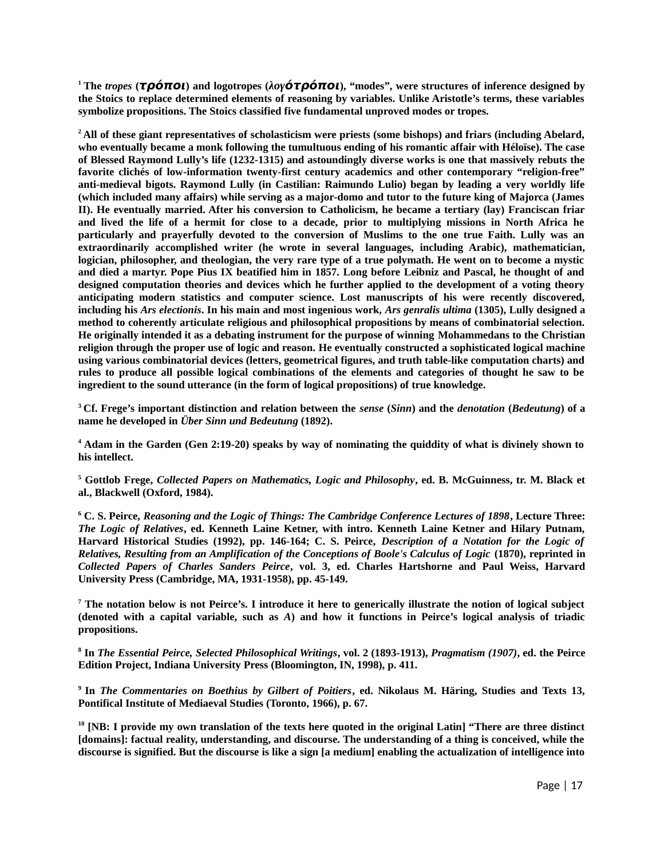**<sup>1</sup>The** *tropes* **(τρόποι) and logotropes (***λογ***ότρόποι), "modes", were structures of inference designed by the Stoics to replace determined elements of reasoning by variables. Unlike Aristotle's terms, these variables symbolize propositions. The Stoics classified five fundamental unproved modes or tropes.**

**<sup>2</sup>All of these giant representatives of scholasticism were priests (some bishops) and friars (including Abelard, who eventually became a monk following the tumultuous ending of his romantic affair with Héloïse). The case of Blessed Raymond Lully's life (1232-1315) and astoundingly diverse works is one that massively rebuts the favorite clichés of low-information twenty-first century academics and other contemporary "religion-free" anti-medieval bigots. Raymond Lully (in Castilian: Raimundo Lulio) began by leading a very worldly life (which included many affairs) while serving as a major-domo and tutor to the future king of Majorca (James II). He eventually married. After his conversion to Catholicism, he became a tertiary (lay) Franciscan friar and lived the life of a hermit for close to a decade, prior to multiplying missions in North Africa he particularly and prayerfully devoted to the conversion of Muslims to the one true Faith. Lully was an extraordinarily accomplished writer (he wrote in several languages, including Arabic), mathematician, logician, philosopher, and theologian, the very rare type of a true polymath. He went on to become a mystic and died a martyr. Pope Pius IX beatified him in 1857. Long before Leibniz and Pascal, he thought of and designed computation theories and devices which he further applied to the development of a voting theory anticipating modern statistics and computer science. Lost manuscripts of his were recently discovered, including his** *Ars electionis***. In his main and most ingenious work,** *Ars genralis ultima* **(1305), Lully designed a method to coherently articulate religious and philosophical propositions by means of combinatorial selection. He originally intended it as a debating instrument for the purpose of winning Mohammedans to the Christian religion through the proper use of logic and reason. He eventually constructed a sophisticated logical machine using various combinatorial devices (letters, geometrical figures, and truth table-like computation charts) and rules to produce all possible logical combinations of the elements and categories of thought he saw to be ingredient to the sound utterance (in the form of logical propositions) of true knowledge.**

**<sup>3</sup>Cf. Frege's important distinction and relation between the** *sense* **(***Sinn***) and the** *denotation* **(***Bedeutung***) of a name he developed in** *Über Sinn und Bedeutung* **(1892).**

**4 Adam in the Garden (Gen 2:19-20) speaks by way of nominating the quiddity of what is divinely shown to his intellect.**

**5 Gottlob Frege,** *Collected Papers on Mathematics, Logic and Philosophy***, ed. B. McGuinness, tr. M. Black et al., Blackwell (Oxford, 1984).**

**6 C. S. Peirce,** *Reasoning and the Logic of Things: The Cambridge Conference Lectures of 1898***, Lecture Three:** *The Logic of Relatives***, ed. Kenneth Laine Ketner, with intro. Kenneth Laine Ketner and Hilary Putnam, Harvard Historical Studies (1992), pp. 146-164; C. S. Peirce,** *Description of a Notation for the Logic of Relatives, Resulting from an Amplification of the Conceptions of Boole's Calculus of Logic* **(1870), reprinted in** *Collected Papers of Charles Sanders Peirce***, vol. 3, ed. Charles Hartshorne and Paul Weiss, Harvard University Press (Cambridge, MA, 1931-1958), pp. 45-149.** 

**7 The notation below is not Peirce's. I introduce it here to generically illustrate the notion of logical subject (denoted with a capital variable, such as** *A***) and how it functions in Peirce's logical analysis of triadic propositions.** 

**8 In** *The Essential Peirce, Selected Philosophical Writings***, vol. 2 (1893-1913),** *Pragmatism (1907)***, ed. the Peirce Edition Project, Indiana University Press (Bloomington, IN, 1998), p. 411.** 

**9 In** *The Commentaries on Boethius by Gilbert of Poitiers***, ed. Nikolaus M. Häring, Studies and Texts 13, Pontifical Institute of Mediaeval Studies (Toronto, 1966), p. 67.**

**<sup>10</sup> [NB: I provide my own translation of the texts here quoted in the original Latin] "There are three distinct [domains]: factual reality, understanding, and discourse. The understanding of a thing is conceived, while the discourse is signified. But the discourse is like a sign [a medium] enabling the actualization of intelligence into**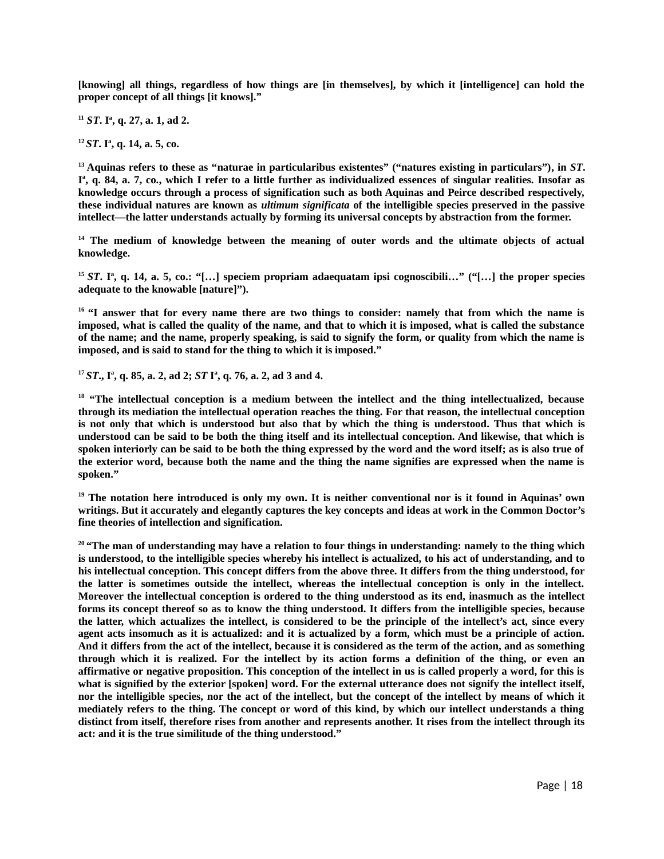**[knowing] all things, regardless of how things are [in themselves], by which it [intelligence] can hold the proper concept of all things [it knows]."**

**<sup>11</sup>** *ST***. I<sup>a</sup> , q. 27, a. 1, ad 2.**

**<sup>12</sup>***ST***. I<sup>a</sup> , q. 14, a. 5, co.**

**<sup>13</sup>Aquinas refers to these as "naturae in particularibus existentes" ("natures existing in particulars"), in** *ST***. I a , q. 84, a. 7, co., which I refer to a little further as individualized essences of singular realities. Insofar as knowledge occurs through a process of signification such as both Aquinas and Peirce described respectively, these individual natures are known as** *ultimum significata* **of the intelligible species preserved in the passive intellect—the latter understands actually by forming its universal concepts by abstraction from the former.**

**<sup>14</sup> The medium of knowledge between the meaning of outer words and the ultimate objects of actual knowledge.**

**<sup>15</sup>** *ST***. I<sup>a</sup> , q. 14, a. 5, co.: "[…] speciem propriam adaequatam ipsi cognoscibili…" ("[…] the proper species adequate to the knowable [nature]").**

**<sup>16</sup>"I answer that for every name there are two things to consider: namely that from which the name is imposed, what is called the quality of the name, and that to which it is imposed, what is called the substance of the name; and the name, properly speaking, is said to signify the form, or quality from which the name is imposed, and is said to stand for the thing to which it is imposed."**

**<sup>17</sup>***ST***., I<sup>a</sup> , q. 85, a. 2, ad 2;** *ST* **I<sup>a</sup> , q. 76, a. 2, ad 3 and 4.**

**<sup>18</sup> "The intellectual conception is a medium between the intellect and the thing intellectualized, because through its mediation the intellectual operation reaches the thing. For that reason, the intellectual conception is not only that which is understood but also that by which the thing is understood. Thus that which is understood can be said to be both the thing itself and its intellectual conception. And likewise, that which is spoken interiorly can be said to be both the thing expressed by the word and the word itself; as is also true of the exterior word, because both the name and the thing the name signifies are expressed when the name is spoken."**

**<sup>19</sup> The notation here introduced is only my own. It is neither conventional nor is it found in Aquinas' own writings. But it accurately and elegantly captures the key concepts and ideas at work in the Common Doctor's fine theories of intellection and signification.** 

**<sup>20</sup>"The man of understanding may have a relation to four things in understanding: namely to the thing which is understood, to the intelligible species whereby his intellect is actualized, to his act of understanding, and to his intellectual conception. This concept differs from the above three. It differs from the thing understood, for the latter is sometimes outside the intellect, whereas the intellectual conception is only in the intellect. Moreover the intellectual conception is ordered to the thing understood as its end, inasmuch as the intellect forms its concept thereof so as to know the thing understood. It differs from the intelligible species, because the latter, which actualizes the intellect, is considered to be the principle of the intellect's act, since every agent acts insomuch as it is actualized: and it is actualized by a form, which must be a principle of action. And it differs from the act of the intellect, because it is considered as the term of the action, and as something through which it is realized. For the intellect by its action forms a definition of the thing, or even an affirmative or negative proposition. This conception of the intellect in us is called properly a word, for this is what is signified by the exterior [spoken] word. For the external utterance does not signify the intellect itself, nor the intelligible species, nor the act of the intellect, but the concept of the intellect by means of which it mediately refers to the thing. The concept or word of this kind, by which our intellect understands a thing distinct from itself, therefore rises from another and represents another. It rises from the intellect through its act: and it is the true similitude of the thing understood."**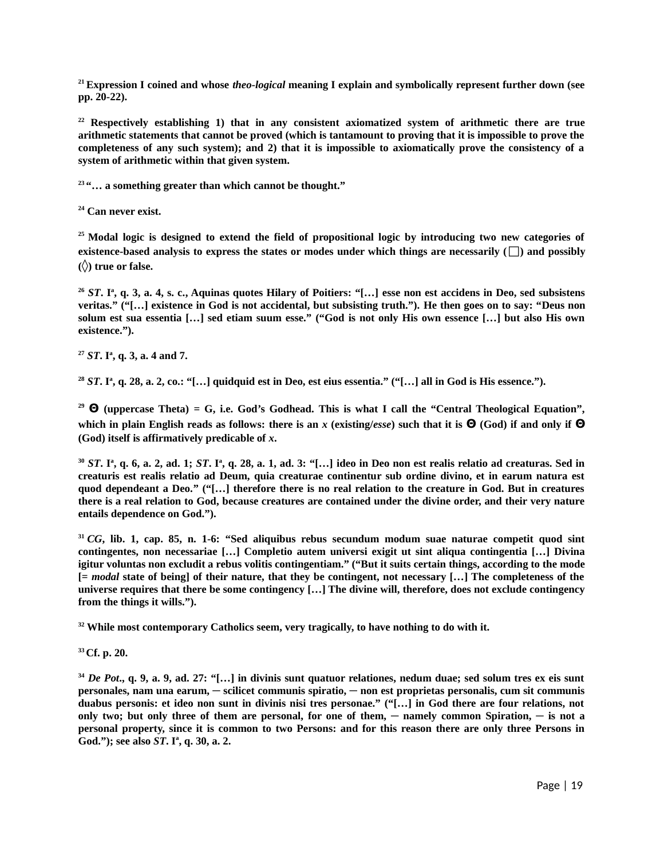**<sup>21</sup>Expression I coined and whose** *theo-logical* **meaning I explain and symbolically represent further down (see pp. 20-22).** 

**<sup>22</sup> Respectively establishing 1) that in any consistent axiomatized system of arithmetic there are true arithmetic statements that cannot be proved (which is tantamount to proving that it is impossible to prove the completeness of any such system); and 2) that it is impossible to axiomatically prove the consistency of a system of arithmetic within that given system.** 

**<sup>23</sup>"… a something greater than which cannot be thought."**

**<sup>24</sup> Can never exist.**

**<sup>25</sup>Modal logic is designed to extend the field of propositional logic by introducing two new categories of existence-based analysis to express the states or modes under which things are necessarily (□) and possibly (◊) true or false.**

**<sup>26</sup>** *ST***. I<sup>a</sup> , q. 3, a. 4, s. c., Aquinas quotes Hilary of Poitiers: "[…] esse non est accidens in Deo, sed subsistens veritas." ("[…] existence in God is not accidental, but subsisting truth."). He then goes on to say: "Deus non solum est sua essentia […] sed etiam suum esse." ("God is not only His own essence […] but also His own existence.").**

**<sup>27</sup>** *ST***. I a , q. 3, a. 4 and 7.**

**<sup>28</sup>** *ST***. I a , q. 28, a. 2, co.: "[…] quidquid est in Deo, est eius essentia." ("[…] all in God is His essence.").**

**<sup>29</sup> Θ (uppercase Theta) = G, i.e. God's Godhead. This is what I call the "Central Theological Equation", which in plain English reads as follows: there is an** *x* **(existing/***esse***) such that it is Θ (God) if and only if Θ (God) itself is affirmatively predicable of** *x***.**

 $^{30}$  *ST*. I<sup>a</sup>, q. 6, a. 2, ad. 1; *ST*. I<sup>a</sup>, q. 28, a. 1, ad. 3: "[…] ideo in Deo non est realis relatio ad creaturas. Sed in **creaturis est realis relatio ad Deum, quia creaturae continentur sub ordine divino, et in earum natura est quod dependeant a Deo." ("[…] therefore there is no real relation to the creature in God. But in creatures there is a real relation to God, because creatures are contained under the divine order, and their very nature entails dependence on God.").**

**<sup>31</sup>** *CG***, lib. 1, cap. 85, n. 1-6: "Sed aliquibus rebus secundum modum suae naturae competit quod sint contingentes, non necessariae […] Completio autem universi exigit ut sint aliqua contingentia […] Divina igitur voluntas non excludit a rebus volitis contingentiam." ("But it suits certain things, according to the mode [=** *modal* **state of being] of their nature, that they be contingent, not necessary […] The completeness of the universe requires that there be some contingency […] The divine will, therefore, does not exclude contingency from the things it wills.").**

**<sup>32</sup> While most contemporary Catholics seem, very tragically, to have nothing to do with it.**

**<sup>33</sup>Cf. p. 20.** 

**<sup>34</sup>** *De Pot***., q. 9, a. 9, ad. 27: "[…] in divinis sunt quatuor relationes, nedum duae; sed solum tres ex eis sunt personales, nam una earum, ─ scilicet communis spiratio, ─ non est proprietas personalis, cum sit communis duabus personis: et ideo non sunt in divinis nisi tres personae." ("[…] in God there are four relations, not only two; but only three of them are personal, for one of them, ─ namely common Spiration, ─ is not a personal property, since it is common to two Persons: and for this reason there are only three Persons in God."); see also** *ST***. I a , q. 30, a. 2.**